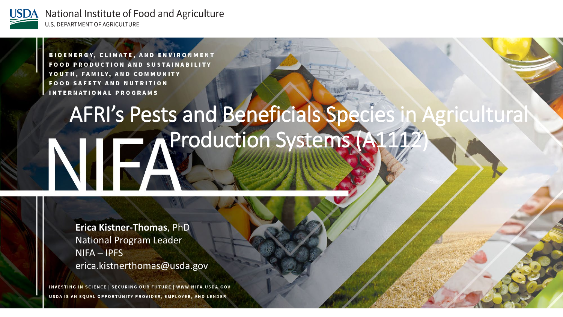

> **BIOENERGY, CLIMATE, AND ENVIRONMENT FOOD PRODUCTION AND SUSTAINABILITY** YOUTH, FAMILY, AND COMMUNITY **FOOD SAFETY AND NUTRITION INTERNATIONAL PROGRAMS**

## AFRI's Pests and Beneficials Species in Agricultural **AProduction Systems (A11** NÆ

**Erica Kistner-Thomas**, PhD National Program Leader NIFA – IPFS erica.kistnerthomas@usda.gov

INVESTING IN SCIENCE | SECURING OUR FUTURE | WWW.NIFA.USDA.GOV USDA IS AN EQUAL OPPORTUNITY PROVIDER, EMPLOYER, AND LENDER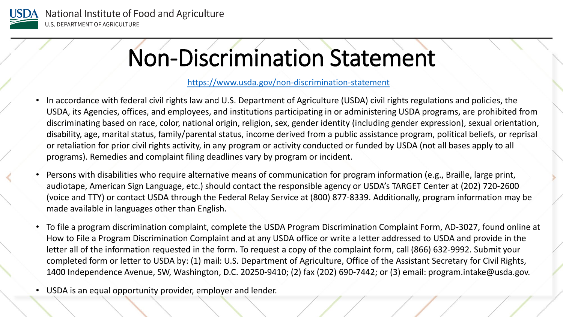

# Non-Discrimination Statement

#### <https://www.usda.gov/non-discrimination-statement>

- In accordance with federal civil rights law and U.S. Department of Agriculture (USDA) civil rights regulations and policies, the USDA, its Agencies, offices, and employees, and institutions participating in or administering USDA programs, are prohibited from discriminating based on race, color, national origin, religion, sex, gender identity (including gender expression), sexual orientation, disability, age, marital status, family/parental status, income derived from a public assistance program, political beliefs, or reprisal or retaliation for prior civil rights activity, in any program or activity conducted or funded by USDA (not all bases apply to all programs). Remedies and complaint filing deadlines vary by program or incident.
- Persons with disabilities who require alternative means of communication for program information (e.g., Braille, large print, audiotape, American Sign Language, etc.) should contact the responsible agency or USDA's TARGET Center at (202) 720-2600 (voice and TTY) or contact USDA through the Federal Relay Service at (800) 877-8339. Additionally, program information may be made available in languages other than English.
- To file a program discrimination complaint, complete the USDA Program Discrimination Complaint Form, AD-3027, found online at How to File a Program Discrimination Complaint and at any USDA office or write a letter addressed to USDA and provide in the letter all of the information requested in the form. To request a copy of the complaint form, call (866) 632-9992. Submit your completed form or letter to USDA by: (1) mail: U.S. Department of Agriculture, Office of the Assistant Secretary for Civil Rights, 1400 Independence Avenue, SW, Washington, D.C. 20250-9410; (2) fax (202) 690-7442; or (3) email: program.intake@usda.gov.
- USDA is an equal opportunity provider, employer and lender.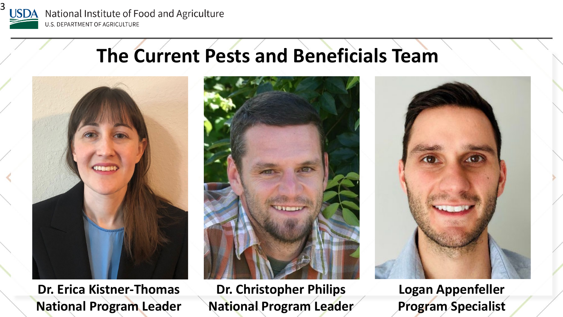

## **The Current Pests and Beneficials Team**



**Dr. Erica Kistner-Thomas National Program Leader**



**Dr. Christopher Philips National Program Leader** 



**Logan Appenfeller Program Specialist**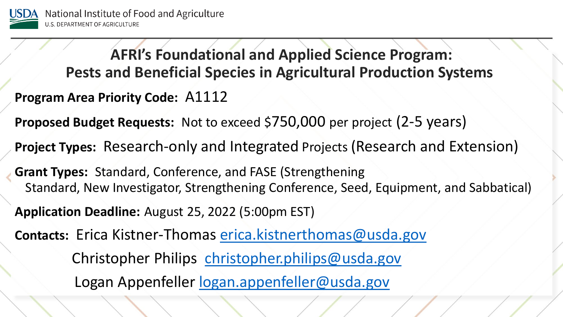

**Program Area Priority Code: A1112 Proposed Budget Requests:** Not to exceed \$750,000 per project (2-5 years) **Project Types:** Research-only and Integrated Projects (Research and Extension) **Grant Types:** Standard, Conference, and FASE (Strengthening Standard, New Investigator, Strengthening Conference, Seed, Equipment, and Sabbatical) **Application Deadline:** August 25, 2022 (5:00pm EST) **AFRI's Foundational and Applied Science Program: Pests and Beneficial Species in Agricultural Production Systems**

**Contacts:** Erica Kistner-Thomas [erica.kistnerthomas@usda.gov](mailto:erica.kistnerthomas@usda.gov) Christopher Philips [christopher.philips@usda.gov](mailto:christopher.philips@usda.gov) Logan Appenfeller [logan.appenfeller@usda.gov](mailto:logan.appenfeller@usda.gov)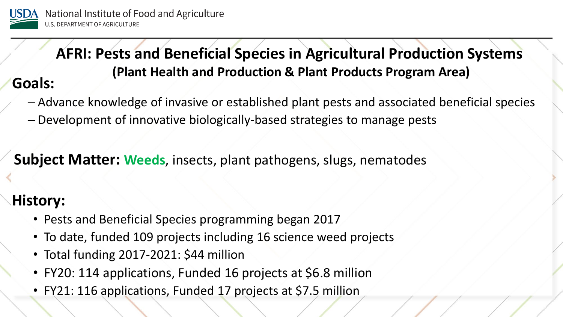

**AFRI: Pests and Beneficial Species in Agricultural Production Systems (Plant Health and Production & Plant Products Program Area) Goals:** 

– Advance knowledge of invasive or established plant pests and associated beneficial species

– Development of innovative biologically-based strategies to manage pests

**Subject Matter: Weeds**, insects, plant pathogens, slugs, nematodes

#### **History:**

- Pests and Beneficial Species programming began 2017
- To date, funded 109 projects including 16 science weed projects
- Total funding 2017-2021: \$44 million
- FY20: 114 applications, Funded 16 projects at \$6.8 million
- FY21: 116 applications, Funded 17 projects at \$7.5 million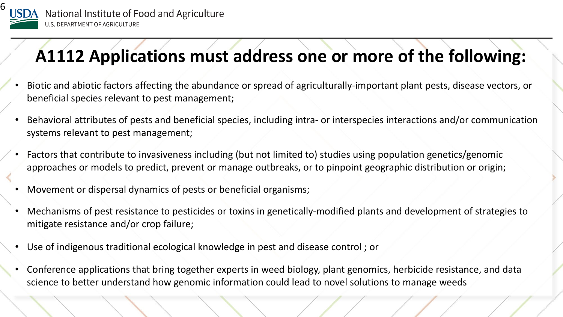

## **A1112 Applications must address one or more of the following:**

- Biotic and abiotic factors affecting the abundance or spread of agriculturally-important plant pests, disease vectors, or beneficial species relevant to pest management;
- Behavioral attributes of pests and beneficial species, including intra- or interspecies interactions and/or communication systems relevant to pest management;
- Factors that contribute to invasiveness including (but not limited to) studies using population genetics/genomic approaches or models to predict, prevent or manage outbreaks, or to pinpoint geographic distribution or origin;
- Movement or dispersal dynamics of pests or beneficial organisms;
- Mechanisms of pest resistance to pesticides or toxins in genetically-modified plants and development of strategies to mitigate resistance and/or crop failure;
- Use of indigenous traditional ecological knowledge in pest and disease control ; or
- Conference applications that bring together experts in weed biology, plant genomics, herbicide resistance, and data science to better understand how genomic information could lead to novel solutions to manage weeds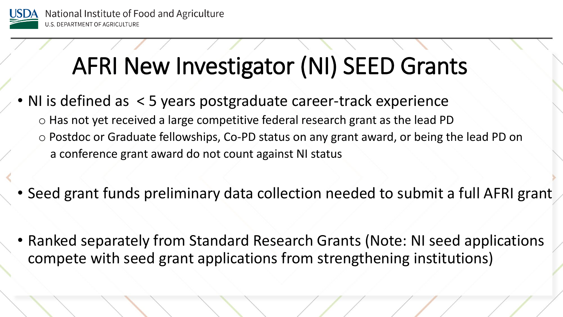

# AFRI New Investigator (NI) SEED Grants

- NI is defined as < 5 years postgraduate career-track experience o Has not yet received a large competitive federal research grant as the lead PD o Postdoc or Graduate fellowships, Co-PD status on any grant award, or being the lead PD on a conference grant award do not count against NI status
- Seed grant funds preliminary data collection needed to submit a full AFRI grant
- Ranked separately from Standard Research Grants (Note: NI seed applications compete with seed grant applications from strengthening institutions)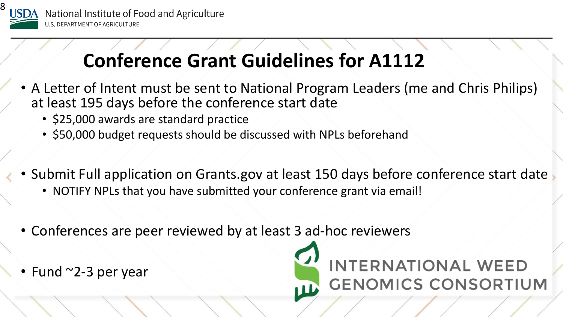

## **Conference Grant Guidelines for A1112**

- A Letter of Intent must be sent to National Program Leaders (me and Chris Philips) at least 195 days before the conference start date
	- \$25,000 awards are standard practice
	- \$50,000 budget requests should be discussed with NPLs beforehand
- Submit Full application on Grants.gov at least 150 days before conference start date
	- NOTIFY NPLs that you have submitted your conference grant via email!
- Conferences are peer reviewed by at least 3 ad-hoc reviewers
- Fund ~2-3 per year

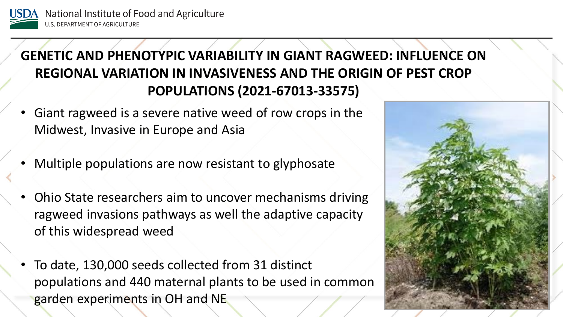

#### **GENETIC AND PHENOTYPIC VARIABILITY IN GIANT RAGWEED: INFLUENCE ON REGIONAL VARIATION IN INVASIVENESS AND THE ORIGIN OF PEST CROP POPULATIONS (2021-67013-33575)**

- Giant ragweed is a severe native weed of row crops in the Midwest, Invasive in Europe and Asia
- Multiple populations are now resistant to glyphosate
- Ohio State researchers aim to uncover mechanisms driving ragweed invasions pathways as well the adaptive capacity of this widespread weed
- To date, 130,000 seeds collected from 31 distinct populations and 440 maternal plants to be used in common garden experiments in OH and NE

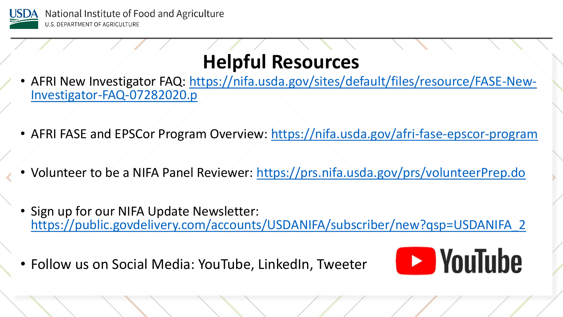

### **Helpful Resources**

- [AFRI New Investigator FAQ: https://nifa.usda.gov/sites/default/files/resource/FASE-New-](https://nifa.usda.gov/sites/default/files/resource/FASE-New-Investigator-FAQ-07282020.p)<br>Investigator-FAQ-07282020.p
- AFRI FASE and EPSCor Program Overview:<https://nifa.usda.gov/afri-fase-epscor-program>
- Volunteer to be a NIFA Panel Reviewer: <https://prs.nifa.usda.gov/prs/volunteerPrep.do>
- Sign up for our NIFA Update Newsletter: [https://public.govdelivery.com/accounts/USDANIFA/subscriber/new?qsp=USDANIFA\\_2](https://public.govdelivery.com/accounts/USDANIFA/subscriber/new?qsp=USDANIFA_2)

• Follow us on Social Media: YouTube, LinkedIn, Tweeter